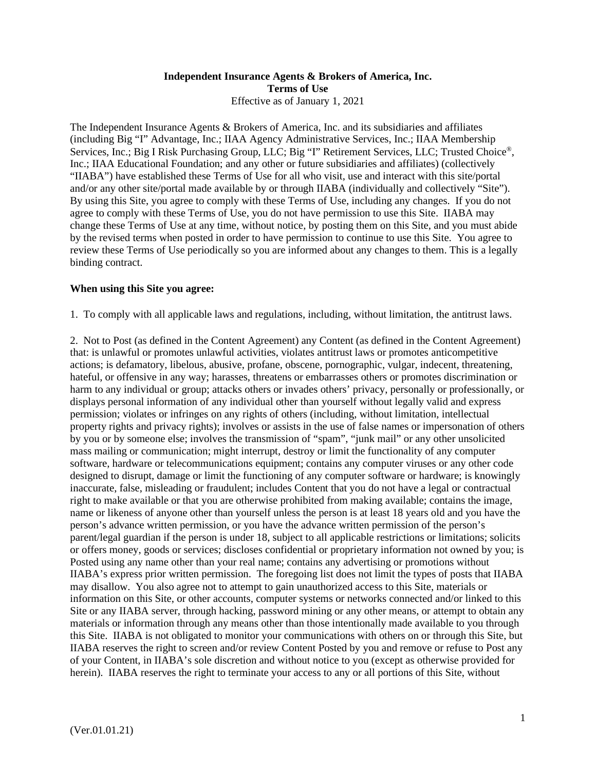## **Independent Insurance Agents & Brokers of America, Inc. Terms of Use**  Effective as of January 1, 2021

The Independent Insurance Agents & Brokers of America, Inc. and its subsidiaries and affiliates (including Big "I" Advantage, Inc.; IIAA Agency Administrative Services, Inc.; IIAA Membership Services, Inc.; Big I Risk Purchasing Group, LLC; Big "I" Retirement Services, LLC; Trusted Choice®, Inc.; IIAA Educational Foundation; and any other or future subsidiaries and affiliates) (collectively "IIABA") have established these Terms of Use for all who visit, use and interact with this site/portal and/or any other site/portal made available by or through IIABA (individually and collectively "Site"). By using this Site, you agree to comply with these Terms of Use, including any changes. If you do not agree to comply with these Terms of Use, you do not have permission to use this Site. IIABA may change these Terms of Use at any time, without notice, by posting them on this Site, and you must abide by the revised terms when posted in order to have permission to continue to use this Site. You agree to review these Terms of Use periodically so you are informed about any changes to them. This is a legally binding contract.

## **When using this Site you agree:**

1. To comply with all applicable laws and regulations, including, without limitation, the antitrust laws.

2. Not to Post (as defined in the Content Agreement) any Content (as defined in the Content Agreement) that: is unlawful or promotes unlawful activities, violates antitrust laws or promotes anticompetitive actions; is defamatory, libelous, abusive, profane, obscene, pornographic, vulgar, indecent, threatening, hateful, or offensive in any way; harasses, threatens or embarrasses others or promotes discrimination or harm to any individual or group; attacks others or invades others' privacy, personally or professionally, or displays personal information of any individual other than yourself without legally valid and express permission; violates or infringes on any rights of others (including, without limitation, intellectual property rights and privacy rights); involves or assists in the use of false names or impersonation of others by you or by someone else; involves the transmission of "spam", "junk mail" or any other unsolicited mass mailing or communication; might interrupt, destroy or limit the functionality of any computer software, hardware or telecommunications equipment; contains any computer viruses or any other code designed to disrupt, damage or limit the functioning of any computer software or hardware; is knowingly inaccurate, false, misleading or fraudulent; includes Content that you do not have a legal or contractual right to make available or that you are otherwise prohibited from making available; contains the image, name or likeness of anyone other than yourself unless the person is at least 18 years old and you have the person's advance written permission, or you have the advance written permission of the person's parent/legal guardian if the person is under 18, subject to all applicable restrictions or limitations; solicits or offers money, goods or services; discloses confidential or proprietary information not owned by you; is Posted using any name other than your real name; contains any advertising or promotions without IIABA's express prior written permission. The foregoing list does not limit the types of posts that IIABA may disallow. You also agree not to attempt to gain unauthorized access to this Site, materials or information on this Site, or other accounts, computer systems or networks connected and/or linked to this Site or any IIABA server, through hacking, password mining or any other means, or attempt to obtain any materials or information through any means other than those intentionally made available to you through this Site. IIABA is not obligated to monitor your communications with others on or through this Site, but IIABA reserves the right to screen and/or review Content Posted by you and remove or refuse to Post any of your Content, in IIABA's sole discretion and without notice to you (except as otherwise provided for herein). IIABA reserves the right to terminate your access to any or all portions of this Site, without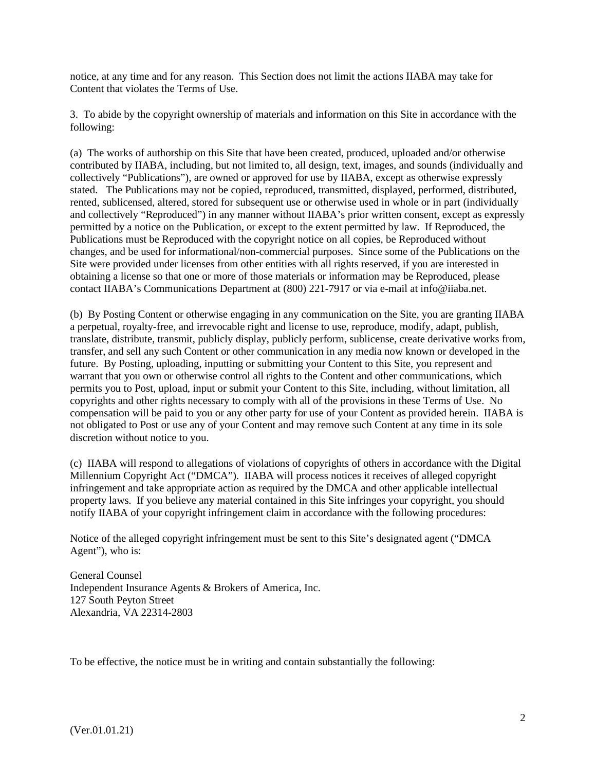notice, at any time and for any reason. This Section does not limit the actions IIABA may take for Content that violates the Terms of Use.

3. To abide by the copyright ownership of materials and information on this Site in accordance with the following:

(a) The works of authorship on this Site that have been created, produced, uploaded and/or otherwise contributed by IIABA, including, but not limited to, all design, text, images, and sounds (individually and collectively "Publications"), are owned or approved for use by IIABA, except as otherwise expressly stated. The Publications may not be copied, reproduced, transmitted, displayed, performed, distributed, rented, sublicensed, altered, stored for subsequent use or otherwise used in whole or in part (individually and collectively "Reproduced") in any manner without IIABA's prior written consent, except as expressly permitted by a notice on the Publication, or except to the extent permitted by law. If Reproduced, the Publications must be Reproduced with the copyright notice on all copies, be Reproduced without changes, and be used for informational/non-commercial purposes. Since some of the Publications on the Site were provided under licenses from other entities with all rights reserved, if you are interested in obtaining a license so that one or more of those materials or information may be Reproduced, please contact IIABA's Communications Department at (800) 221-7917 or via e-mail at info@iiaba.net.

(b) By Posting Content or otherwise engaging in any communication on the Site, you are granting IIABA a perpetual, royalty-free, and irrevocable right and license to use, reproduce, modify, adapt, publish, translate, distribute, transmit, publicly display, publicly perform, sublicense, create derivative works from, transfer, and sell any such Content or other communication in any media now known or developed in the future. By Posting, uploading, inputting or submitting your Content to this Site, you represent and warrant that you own or otherwise control all rights to the Content and other communications, which permits you to Post, upload, input or submit your Content to this Site, including, without limitation, all copyrights and other rights necessary to comply with all of the provisions in these Terms of Use. No compensation will be paid to you or any other party for use of your Content as provided herein. IIABA is not obligated to Post or use any of your Content and may remove such Content at any time in its sole discretion without notice to you.

(c) IIABA will respond to allegations of violations of copyrights of others in accordance with the Digital Millennium Copyright Act ("DMCA"). IIABA will process notices it receives of alleged copyright infringement and take appropriate action as required by the DMCA and other applicable intellectual property laws. If you believe any material contained in this Site infringes your copyright, you should notify IIABA of your copyright infringement claim in accordance with the following procedures:

Notice of the alleged copyright infringement must be sent to this Site's designated agent ("DMCA Agent"), who is:

General Counsel Independent Insurance Agents & Brokers of America, Inc. 127 South Peyton Street Alexandria, VA 22314-2803

To be effective, the notice must be in writing and contain substantially the following: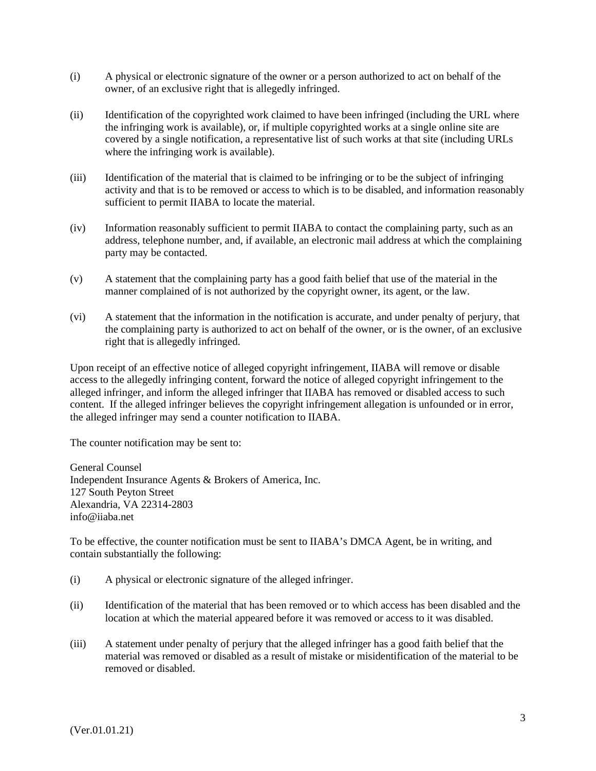- (i) A physical or electronic signature of the owner or a person authorized to act on behalf of the owner, of an exclusive right that is allegedly infringed.
- (ii) Identification of the copyrighted work claimed to have been infringed (including the URL where the infringing work is available), or, if multiple copyrighted works at a single online site are covered by a single notification, a representative list of such works at that site (including URLs where the infringing work is available).
- (iii) Identification of the material that is claimed to be infringing or to be the subject of infringing activity and that is to be removed or access to which is to be disabled, and information reasonably sufficient to permit IIABA to locate the material.
- (iv) Information reasonably sufficient to permit IIABA to contact the complaining party, such as an address, telephone number, and, if available, an electronic mail address at which the complaining party may be contacted.
- (v) A statement that the complaining party has a good faith belief that use of the material in the manner complained of is not authorized by the copyright owner, its agent, or the law.
- (vi) A statement that the information in the notification is accurate, and under penalty of perjury, that the complaining party is authorized to act on behalf of the owner, or is the owner, of an exclusive right that is allegedly infringed.

Upon receipt of an effective notice of alleged copyright infringement, IIABA will remove or disable access to the allegedly infringing content, forward the notice of alleged copyright infringement to the alleged infringer, and inform the alleged infringer that IIABA has removed or disabled access to such content. If the alleged infringer believes the copyright infringement allegation is unfounded or in error, the alleged infringer may send a counter notification to IIABA.

The counter notification may be sent to:

General Counsel Independent Insurance Agents & Brokers of America, Inc. 127 South Peyton Street Alexandria, VA 22314-2803 info@iiaba.net

To be effective, the counter notification must be sent to IIABA's DMCA Agent, be in writing, and contain substantially the following:

- (i) A physical or electronic signature of the alleged infringer.
- (ii) Identification of the material that has been removed or to which access has been disabled and the location at which the material appeared before it was removed or access to it was disabled.
- (iii) A statement under penalty of perjury that the alleged infringer has a good faith belief that the material was removed or disabled as a result of mistake or misidentification of the material to be removed or disabled.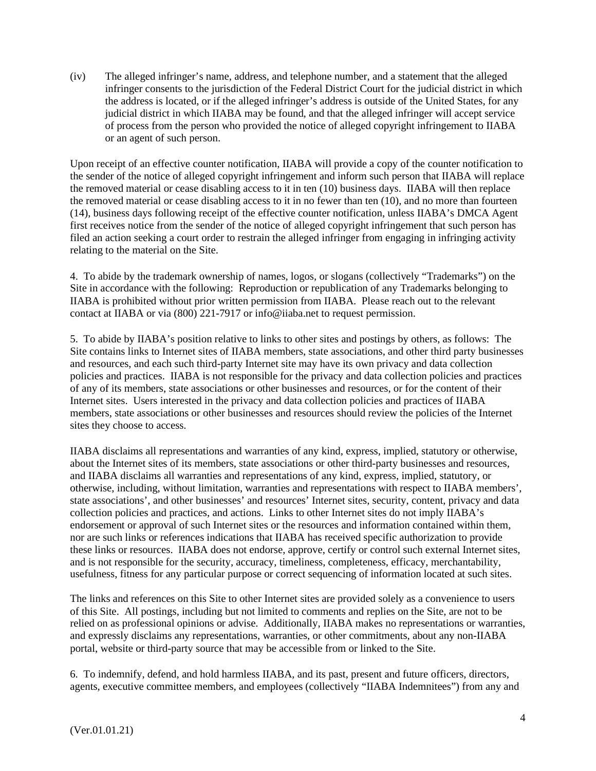(iv) The alleged infringer's name, address, and telephone number, and a statement that the alleged infringer consents to the jurisdiction of the Federal District Court for the judicial district in which the address is located, or if the alleged infringer's address is outside of the United States, for any judicial district in which IIABA may be found, and that the alleged infringer will accept service of process from the person who provided the notice of alleged copyright infringement to IIABA or an agent of such person.

Upon receipt of an effective counter notification, IIABA will provide a copy of the counter notification to the sender of the notice of alleged copyright infringement and inform such person that IIABA will replace the removed material or cease disabling access to it in ten (10) business days. IIABA will then replace the removed material or cease disabling access to it in no fewer than ten (10), and no more than fourteen (14), business days following receipt of the effective counter notification, unless IIABA's DMCA Agent first receives notice from the sender of the notice of alleged copyright infringement that such person has filed an action seeking a court order to restrain the alleged infringer from engaging in infringing activity relating to the material on the Site.

4. To abide by the trademark ownership of names, logos, or slogans (collectively "Trademarks") on the Site in accordance with the following: Reproduction or republication of any Trademarks belonging to IIABA is prohibited without prior written permission from IIABA. Please reach out to the relevant contact at IIABA or via (800) 221-7917 or info@iiaba.net to request permission.

5. To abide by IIABA's position relative to links to other sites and postings by others, as follows: The Site contains links to Internet sites of IIABA members, state associations, and other third party businesses and resources, and each such third-party Internet site may have its own privacy and data collection policies and practices. IIABA is not responsible for the privacy and data collection policies and practices of any of its members, state associations or other businesses and resources, or for the content of their Internet sites. Users interested in the privacy and data collection policies and practices of IIABA members, state associations or other businesses and resources should review the policies of the Internet sites they choose to access.

IIABA disclaims all representations and warranties of any kind, express, implied, statutory or otherwise, about the Internet sites of its members, state associations or other third-party businesses and resources, and IIABA disclaims all warranties and representations of any kind, express, implied, statutory, or otherwise, including, without limitation, warranties and representations with respect to IIABA members', state associations', and other businesses' and resources' Internet sites, security, content, privacy and data collection policies and practices, and actions. Links to other Internet sites do not imply IIABA's endorsement or approval of such Internet sites or the resources and information contained within them, nor are such links or references indications that IIABA has received specific authorization to provide these links or resources. IIABA does not endorse, approve, certify or control such external Internet sites, and is not responsible for the security, accuracy, timeliness, completeness, efficacy, merchantability, usefulness, fitness for any particular purpose or correct sequencing of information located at such sites.

The links and references on this Site to other Internet sites are provided solely as a convenience to users of this Site. All postings, including but not limited to comments and replies on the Site, are not to be relied on as professional opinions or advise. Additionally, IIABA makes no representations or warranties, and expressly disclaims any representations, warranties, or other commitments, about any non-IIABA portal, website or third-party source that may be accessible from or linked to the Site.

6. To indemnify, defend, and hold harmless IIABA, and its past, present and future officers, directors, agents, executive committee members, and employees (collectively "IIABA Indemnitees") from any and